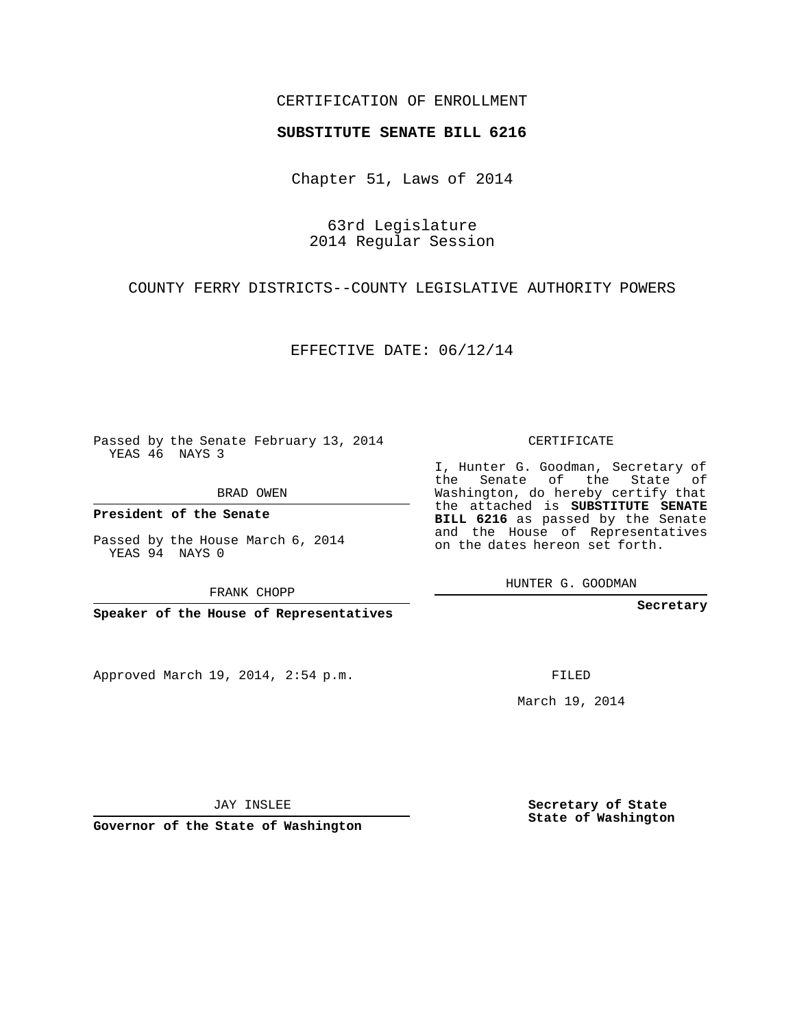## CERTIFICATION OF ENROLLMENT

## **SUBSTITUTE SENATE BILL 6216**

Chapter 51, Laws of 2014

63rd Legislature 2014 Regular Session

COUNTY FERRY DISTRICTS--COUNTY LEGISLATIVE AUTHORITY POWERS

EFFECTIVE DATE: 06/12/14

Passed by the Senate February 13, 2014 YEAS 46 NAYS 3

BRAD OWEN

**President of the Senate**

Passed by the House March 6, 2014 YEAS 94 NAYS 0

FRANK CHOPP

**Speaker of the House of Representatives**

Approved March 19, 2014, 2:54 p.m.

CERTIFICATE

I, Hunter G. Goodman, Secretary of the Senate of the State of Washington, do hereby certify that the attached is **SUBSTITUTE SENATE BILL 6216** as passed by the Senate and the House of Representatives on the dates hereon set forth.

HUNTER G. GOODMAN

**Secretary**

FILED

March 19, 2014

**Secretary of State State of Washington**

JAY INSLEE

**Governor of the State of Washington**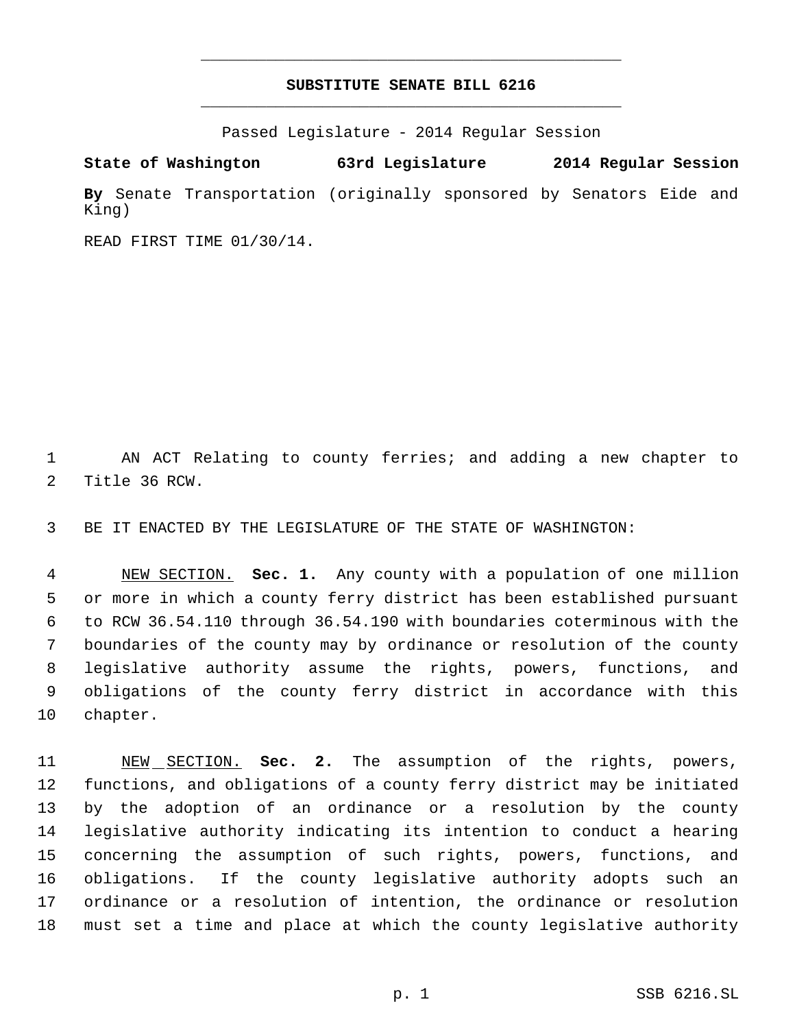## **SUBSTITUTE SENATE BILL 6216** \_\_\_\_\_\_\_\_\_\_\_\_\_\_\_\_\_\_\_\_\_\_\_\_\_\_\_\_\_\_\_\_\_\_\_\_\_\_\_\_\_\_\_\_\_

\_\_\_\_\_\_\_\_\_\_\_\_\_\_\_\_\_\_\_\_\_\_\_\_\_\_\_\_\_\_\_\_\_\_\_\_\_\_\_\_\_\_\_\_\_

Passed Legislature - 2014 Regular Session

**State of Washington 63rd Legislature 2014 Regular Session By** Senate Transportation (originally sponsored by Senators Eide and King)

READ FIRST TIME 01/30/14.

 AN ACT Relating to county ferries; and adding a new chapter to Title 36 RCW.

BE IT ENACTED BY THE LEGISLATURE OF THE STATE OF WASHINGTON:

 NEW SECTION. **Sec. 1.** Any county with a population of one million or more in which a county ferry district has been established pursuant to RCW 36.54.110 through 36.54.190 with boundaries coterminous with the boundaries of the county may by ordinance or resolution of the county legislative authority assume the rights, powers, functions, and obligations of the county ferry district in accordance with this chapter.

 NEW SECTION. **Sec. 2.** The assumption of the rights, powers, functions, and obligations of a county ferry district may be initiated by the adoption of an ordinance or a resolution by the county legislative authority indicating its intention to conduct a hearing concerning the assumption of such rights, powers, functions, and obligations. If the county legislative authority adopts such an ordinance or a resolution of intention, the ordinance or resolution must set a time and place at which the county legislative authority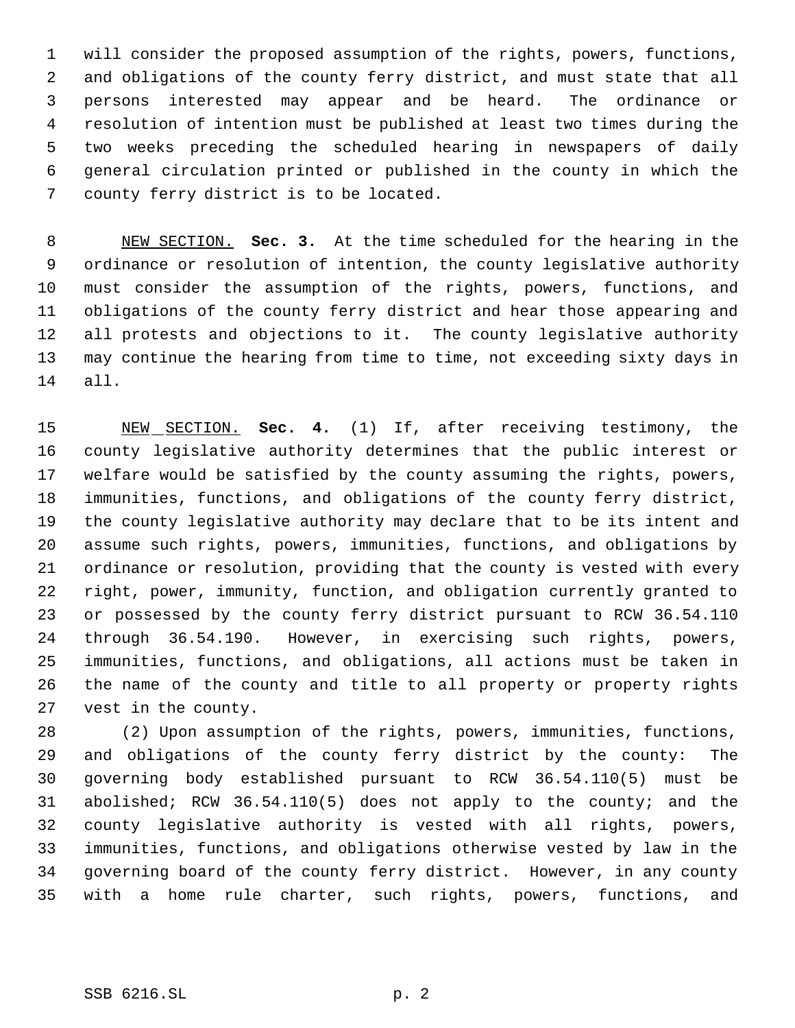will consider the proposed assumption of the rights, powers, functions, and obligations of the county ferry district, and must state that all persons interested may appear and be heard. The ordinance or resolution of intention must be published at least two times during the two weeks preceding the scheduled hearing in newspapers of daily general circulation printed or published in the county in which the county ferry district is to be located.

 NEW SECTION. **Sec. 3.** At the time scheduled for the hearing in the ordinance or resolution of intention, the county legislative authority must consider the assumption of the rights, powers, functions, and obligations of the county ferry district and hear those appearing and all protests and objections to it. The county legislative authority may continue the hearing from time to time, not exceeding sixty days in all.

 NEW SECTION. **Sec. 4.** (1) If, after receiving testimony, the county legislative authority determines that the public interest or welfare would be satisfied by the county assuming the rights, powers, immunities, functions, and obligations of the county ferry district, the county legislative authority may declare that to be its intent and assume such rights, powers, immunities, functions, and obligations by ordinance or resolution, providing that the county is vested with every right, power, immunity, function, and obligation currently granted to or possessed by the county ferry district pursuant to RCW 36.54.110 through 36.54.190. However, in exercising such rights, powers, immunities, functions, and obligations, all actions must be taken in the name of the county and title to all property or property rights vest in the county.

 (2) Upon assumption of the rights, powers, immunities, functions, and obligations of the county ferry district by the county: The governing body established pursuant to RCW 36.54.110(5) must be abolished; RCW 36.54.110(5) does not apply to the county; and the county legislative authority is vested with all rights, powers, immunities, functions, and obligations otherwise vested by law in the governing board of the county ferry district. However, in any county with a home rule charter, such rights, powers, functions, and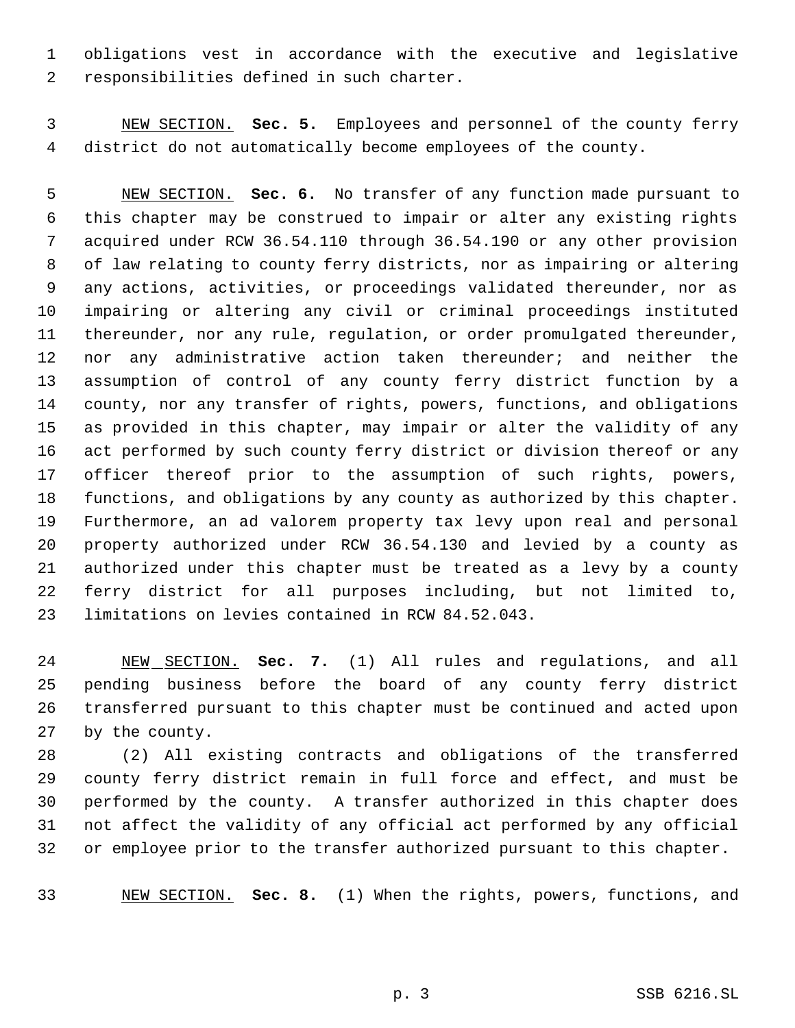obligations vest in accordance with the executive and legislative responsibilities defined in such charter.

 NEW SECTION. **Sec. 5.** Employees and personnel of the county ferry district do not automatically become employees of the county.

 NEW SECTION. **Sec. 6.** No transfer of any function made pursuant to this chapter may be construed to impair or alter any existing rights acquired under RCW 36.54.110 through 36.54.190 or any other provision of law relating to county ferry districts, nor as impairing or altering any actions, activities, or proceedings validated thereunder, nor as impairing or altering any civil or criminal proceedings instituted thereunder, nor any rule, regulation, or order promulgated thereunder, 12 nor any administrative action taken thereunder; and neither the assumption of control of any county ferry district function by a county, nor any transfer of rights, powers, functions, and obligations as provided in this chapter, may impair or alter the validity of any act performed by such county ferry district or division thereof or any officer thereof prior to the assumption of such rights, powers, functions, and obligations by any county as authorized by this chapter. Furthermore, an ad valorem property tax levy upon real and personal property authorized under RCW 36.54.130 and levied by a county as authorized under this chapter must be treated as a levy by a county ferry district for all purposes including, but not limited to, limitations on levies contained in RCW 84.52.043.

 NEW SECTION. **Sec. 7.** (1) All rules and regulations, and all pending business before the board of any county ferry district transferred pursuant to this chapter must be continued and acted upon by the county.

 (2) All existing contracts and obligations of the transferred county ferry district remain in full force and effect, and must be performed by the county. A transfer authorized in this chapter does not affect the validity of any official act performed by any official or employee prior to the transfer authorized pursuant to this chapter.

NEW SECTION. **Sec. 8.** (1) When the rights, powers, functions, and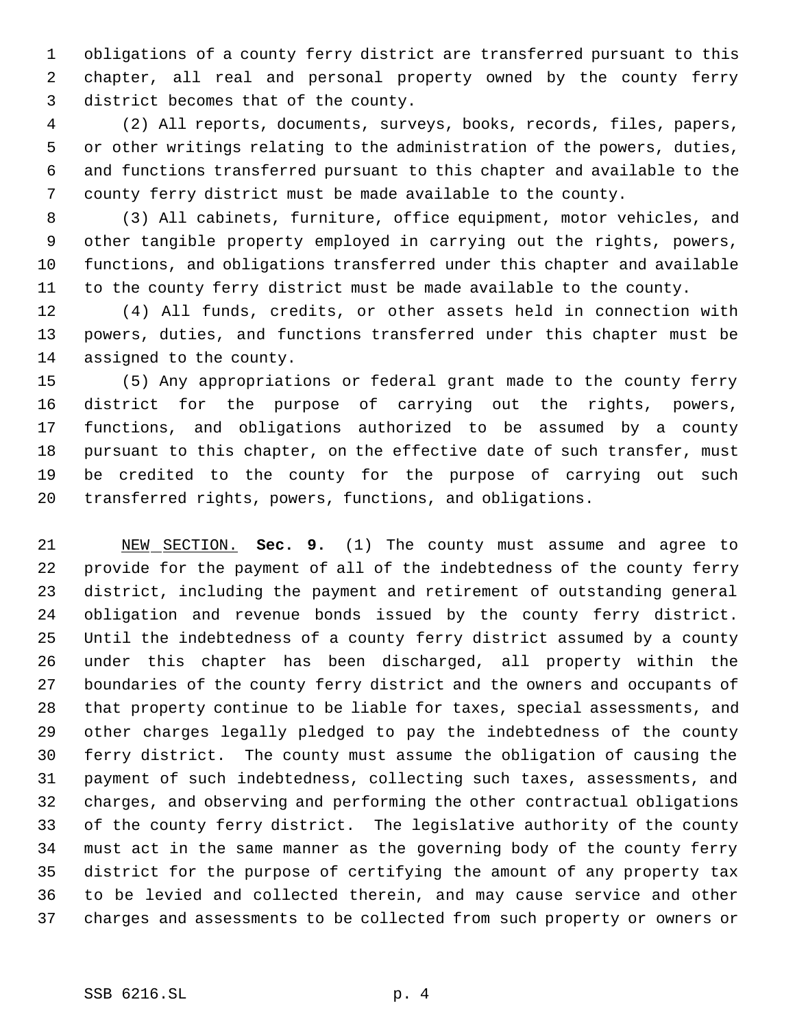obligations of a county ferry district are transferred pursuant to this chapter, all real and personal property owned by the county ferry district becomes that of the county.

 (2) All reports, documents, surveys, books, records, files, papers, or other writings relating to the administration of the powers, duties, and functions transferred pursuant to this chapter and available to the county ferry district must be made available to the county.

 (3) All cabinets, furniture, office equipment, motor vehicles, and other tangible property employed in carrying out the rights, powers, functions, and obligations transferred under this chapter and available to the county ferry district must be made available to the county.

 (4) All funds, credits, or other assets held in connection with powers, duties, and functions transferred under this chapter must be assigned to the county.

 (5) Any appropriations or federal grant made to the county ferry district for the purpose of carrying out the rights, powers, functions, and obligations authorized to be assumed by a county pursuant to this chapter, on the effective date of such transfer, must be credited to the county for the purpose of carrying out such transferred rights, powers, functions, and obligations.

 NEW SECTION. **Sec. 9.** (1) The county must assume and agree to provide for the payment of all of the indebtedness of the county ferry district, including the payment and retirement of outstanding general obligation and revenue bonds issued by the county ferry district. Until the indebtedness of a county ferry district assumed by a county under this chapter has been discharged, all property within the boundaries of the county ferry district and the owners and occupants of that property continue to be liable for taxes, special assessments, and other charges legally pledged to pay the indebtedness of the county ferry district. The county must assume the obligation of causing the payment of such indebtedness, collecting such taxes, assessments, and charges, and observing and performing the other contractual obligations of the county ferry district. The legislative authority of the county must act in the same manner as the governing body of the county ferry district for the purpose of certifying the amount of any property tax to be levied and collected therein, and may cause service and other charges and assessments to be collected from such property or owners or